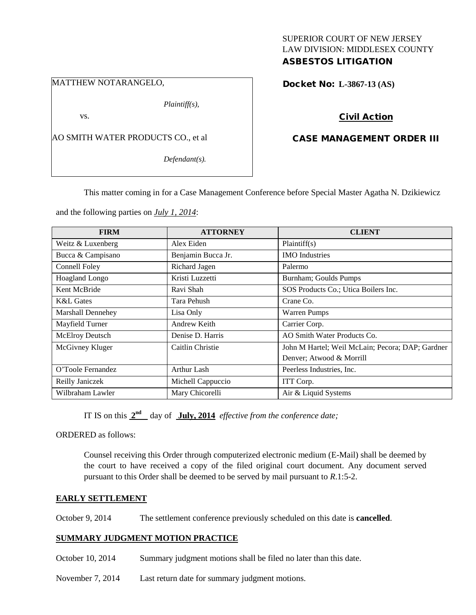## SUPERIOR COURT OF NEW JERSEY LAW DIVISION: MIDDLESEX COUNTY ASBESTOS LITIGATION

MATTHEW NOTARANGELO,

*Plaintiff(s),*

vs.

AO SMITH WATER PRODUCTS CO., et al

*Defendant(s).*

Docket No: **L-3867-13 (AS)** 

## Civil Action

# CASE MANAGEMENT ORDER III

This matter coming in for a Case Management Conference before Special Master Agatha N. Dzikiewicz

and the following parties on *July 1, 2014*:

| <b>FIRM</b>              | <b>ATTORNEY</b>    | <b>CLIENT</b>                                    |
|--------------------------|--------------------|--------------------------------------------------|
| Weitz & Luxenberg        | Alex Eiden         | Plaintiff(s)                                     |
| Bucca & Campisano        | Benjamin Bucca Jr. | <b>IMO</b> Industries                            |
| Connell Foley            | Richard Jagen      | Palermo                                          |
| Hoagland Longo           | Kristi Luzzetti    | Burnham; Goulds Pumps                            |
| Kent McBride             | Ravi Shah          | SOS Products Co.; Utica Boilers Inc.             |
| <b>K&amp;L</b> Gates     | Tara Pehush        | Crane Co.                                        |
| <b>Marshall Dennehey</b> | Lisa Only          | <b>Warren Pumps</b>                              |
| Mayfield Turner          | Andrew Keith       | Carrier Corp.                                    |
| McElroy Deutsch          | Denise D. Harris   | AO Smith Water Products Co.                      |
| McGivney Kluger          | Caitlin Christie   | John M Hartel; Weil McLain; Pecora; DAP; Gardner |
|                          |                    | Denver; Atwood & Morrill                         |
| O'Toole Fernandez        | Arthur Lash        | Peerless Industries, Inc.                        |
| Reilly Janiczek          | Michell Cappuccio  | ITT Corp.                                        |
| Wilbraham Lawler         | Mary Chicorelli    | Air & Liquid Systems                             |

IT IS on this **2nd** day of **July, 2014** *effective from the conference date;*

ORDERED as follows:

Counsel receiving this Order through computerized electronic medium (E-Mail) shall be deemed by the court to have received a copy of the filed original court document. Any document served pursuant to this Order shall be deemed to be served by mail pursuant to *R*.1:5-2.

### **EARLY SETTLEMENT**

October 9, 2014 The settlement conference previously scheduled on this date is **cancelled**.

## **SUMMARY JUDGMENT MOTION PRACTICE**

- October 10, 2014 Summary judgment motions shall be filed no later than this date.
- November 7, 2014 Last return date for summary judgment motions.